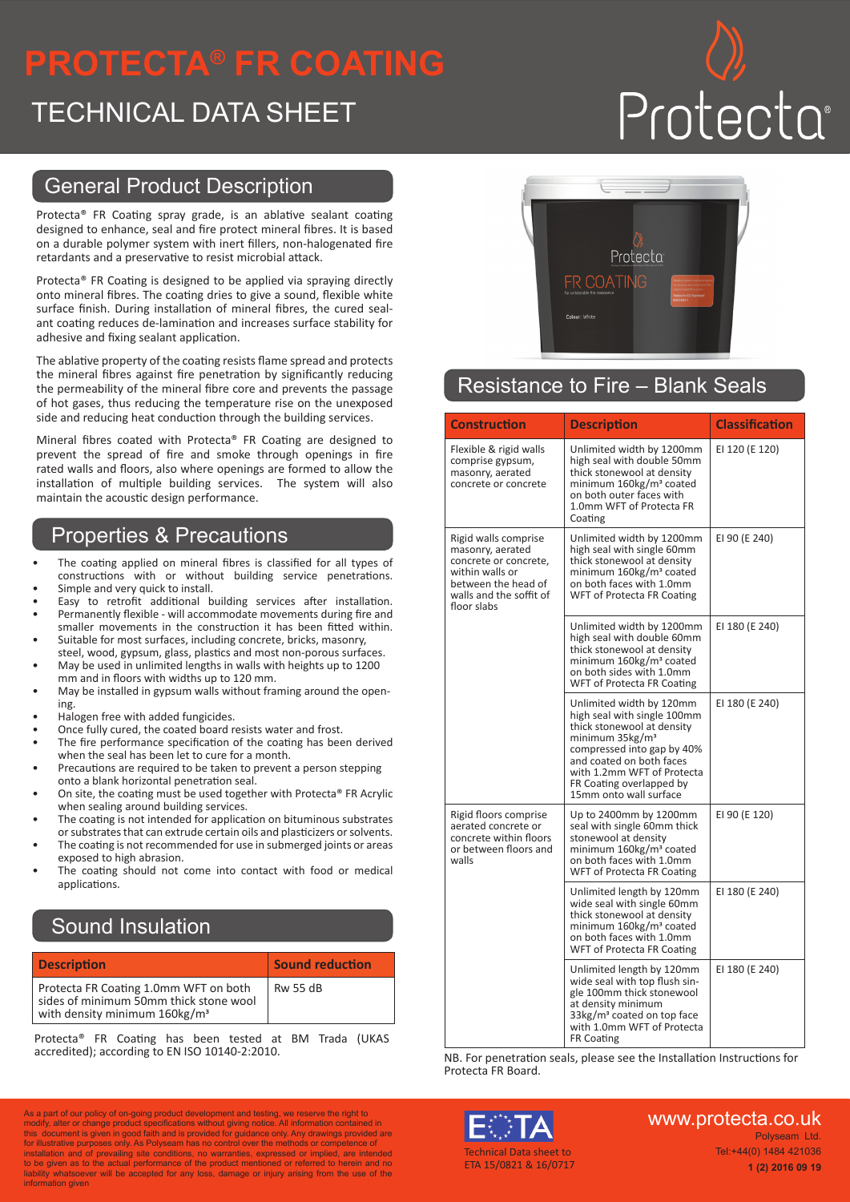## **PROTECTA® FR COATING**

### TECHNICAL DATA SHEET

# Protecta

#### General Product Description

Protecta® FR Coating spray grade, is an ablative sealant coating designed to enhance, seal and fire protect mineral fibres. It is based on a durable polymer system with inert fillers, non-halogenated fire retardants and a preservative to resist microbial attack.

Protecta® FR Coating is designed to be applied via spraying directly onto mineral fibres. The coating dries to give a sound, flexible white surface finish. During installation of mineral fibres, the cured sealant coating reduces de-lamination and increases surface stability for adhesive and fixing sealant application.

The ablative property of the coating resists flame spread and protects the mineral fibres against fire penetration by significantly reducing the permeability of the mineral fibre core and prevents the passage of hot gases, thus reducing the temperature rise on the unexposed side and reducing heat conduction through the building services.

Mineral fibres coated with Protecta® FR Coating are designed to prevent the spread of fire and smoke through openings in fire rated walls and floors, also where openings are formed to allow the installation of multiple building services. The system will also maintain the acoustic design performance.

#### Properties & Precautions

- The coating applied on mineral fibres is classified for all types of constructions with or without building service penetrations. Simple and very quick to install.
- Easy to retrofit additional building services after installation.
- Permanently flexible will accommodate movements during fire and smaller movements in the construction it has been fitted within.
- Suitable for most surfaces, including concrete, bricks, masonry, steel, wood, gypsum, glass, plastics and most non-porous surfaces.
- May be used in unlimited lengths in walls with heights up to 1200 mm and in floors with widths up to 120 mm.
- May be installed in gypsum walls without framing around the opening.
- Halogen free with added fungicides.
- Once fully cured, the coated board resists water and frost.
- The fire performance specification of the coating has been derived when the seal has been let to cure for a month.
- Precautions are required to be taken to prevent a person stepping onto a blank horizontal penetration seal.
- On site, the coating must be used together with Protecta® FR Acrylic when sealing around building services.
- The coating is not intended for application on bituminous substrates or substrates that can extrude certain oils and plasticizers or solvents.
- The coating is not recommended for use in submerged joints or areas exposed to high abrasion.
- The coating should not come into contact with food or medical applications.

#### Sound Insulation

| <b>Description</b>                                                                                                           | <b>Sound reduction</b> |
|------------------------------------------------------------------------------------------------------------------------------|------------------------|
| Protecta FR Coating 1.0mm WFT on both<br>sides of minimum 50mm thick stone wool<br>with density minimum 160kg/m <sup>3</sup> | <b>Rw 55 dB</b>        |

Protecta® FR Coating has been tested at BM Trada (UKAS accredited); according to EN ISO 10140-2:2010.

As a part of our policy of on-going product development and testing, we reserve the right to



#### Resistance to Fire – Blank Seals

| <b>Construction</b>                                                                                                                                   | <b>Description</b>                                                                                                                                                                                                                                                 | <b>Classification</b> |
|-------------------------------------------------------------------------------------------------------------------------------------------------------|--------------------------------------------------------------------------------------------------------------------------------------------------------------------------------------------------------------------------------------------------------------------|-----------------------|
| Flexible & rigid walls<br>comprise gypsum,<br>masonry, aerated<br>concrete or concrete                                                                | Unlimited width by 1200mm<br>high seal with double 50mm<br>thick stonewool at density<br>minimum 160kg/m <sup>3</sup> coated<br>on both outer faces with<br>1.0mm WFT of Protecta FR<br>Coating                                                                    | EI 120 (E 120)        |
| Rigid walls comprise<br>masonry, aerated<br>concrete or concrete,<br>within walls or<br>between the head of<br>walls and the soffit of<br>floor slabs | Unlimited width by 1200mm<br>high seal with single 60mm<br>thick stonewool at density<br>minimum 160kg/m <sup>3</sup> coated<br>on both faces with 1.0mm<br><b>WFT of Protecta FR Coating</b>                                                                      | EI 90 (E 240)         |
|                                                                                                                                                       | Unlimited width by 1200mm<br>high seal with double 60mm<br>thick stonewool at density<br>minimum 160kg/m <sup>3</sup> coated<br>on both sides with 1.0mm<br>WFT of Protecta FR Coating                                                                             | EI 180 (E 240)        |
|                                                                                                                                                       | Unlimited width by 120mm<br>high seal with single 100mm<br>thick stonewool at density<br>minimum 35kg/m <sup>3</sup><br>compressed into gap by 40%<br>and coated on both faces<br>with 1.2mm WFT of Protecta<br>FR Coating overlapped by<br>15mm onto wall surface | EI 180 (E 240)        |
| Rigid floors comprise<br>aerated concrete or<br>concrete within floors<br>or between floors and<br>walls                                              | Up to 2400mm by 1200mm<br>seal with single 60mm thick<br>stonewool at density<br>minimum 160kg/m <sup>3</sup> coated<br>on both faces with 1.0mm<br>WFT of Protecta FR Coating                                                                                     | EI 90 (E 120)         |
|                                                                                                                                                       | Unlimited length by 120mm<br>wide seal with single 60mm<br>thick stonewool at density<br>minimum 160kg/m <sup>3</sup> coated<br>on both faces with 1.0mm<br>WFT of Protecta FR Coating                                                                             | EI 180 (E 240)        |
|                                                                                                                                                       | Unlimited length by 120mm<br>wide seal with top flush sin-<br>gle 100mm thick stonewool<br>at density minimum<br>33kg/m <sup>3</sup> coated on top face<br>with 1.0mm WFT of Protecta<br><b>FR Coating</b>                                                         | EI 180 (E 240)        |

NB. For penetration seals, please see the Installation Instructions for Protecta FR Board.



www.protecta.co.uk Polyseam Ltd. Tel:+44(0) 1484 421036

**1 (2) 2016 09 19** 

modify, alter or change product specifications without giving notice. All information contained in<br>this document is given in good faith and is provided for guidance only. Any drawings provided are<br>for illustrative purposes to be given as to the actual performance of the product mentioned or referred to herein and no liability whatsoever will be accepted for any loss, damage or injury arising from the use of the information given